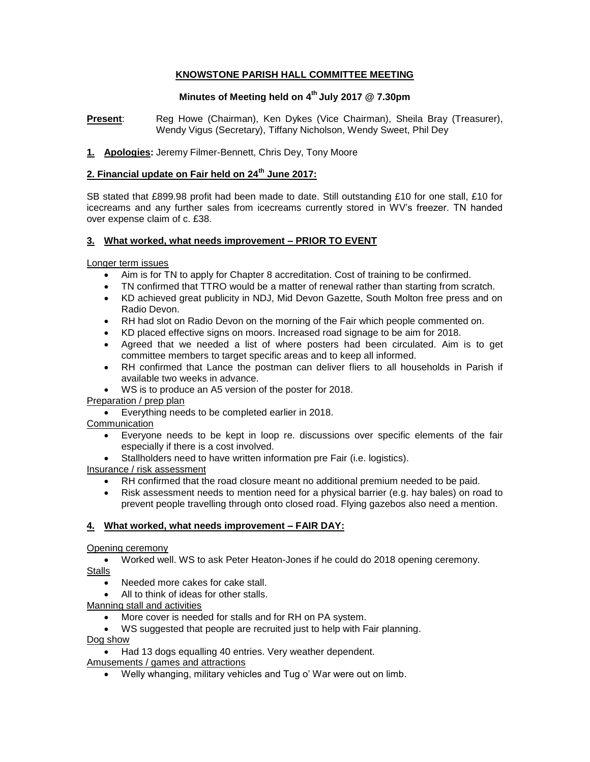# **KNOWSTONE PARISH HALL COMMITTEE MEETING**

# **Minutes of Meeting held on 4 th July 2017 @ 7.30pm**

**Present**: Reg Howe (Chairman), Ken Dykes (Vice Chairman), Sheila Bray (Treasurer), Wendy Vigus (Secretary), Tiffany Nicholson, Wendy Sweet, Phil Dey

# **1. Apologies:** Jeremy Filmer-Bennett, Chris Dey, Tony Moore

# **2. Financial update on Fair held on 24th June 2017:**

SB stated that £899.98 profit had been made to date. Still outstanding £10 for one stall, £10 for icecreams and any further sales from icecreams currently stored in WV's freezer. TN handed over expense claim of c. £38.

# **3. What worked, what needs improvement – PRIOR TO EVENT**

Longer term issues

- Aim is for TN to apply for Chapter 8 accreditation. Cost of training to be confirmed.
- TN confirmed that TTRO would be a matter of renewal rather than starting from scratch.
- KD achieved great publicity in NDJ, Mid Devon Gazette, South Molton free press and on Radio Devon.
- RH had slot on Radio Devon on the morning of the Fair which people commented on.
- KD placed effective signs on moors. Increased road signage to be aim for 2018.
- Agreed that we needed a list of where posters had been circulated. Aim is to get committee members to target specific areas and to keep all informed.
- RH confirmed that Lance the postman can deliver fliers to all households in Parish if available two weeks in advance.
- WS is to produce an A5 version of the poster for 2018.

# Preparation / prep plan

Everything needs to be completed earlier in 2018.

**Communication** 

- Everyone needs to be kept in loop re. discussions over specific elements of the fair especially if there is a cost involved.
- Stallholders need to have written information pre Fair (i.e. logistics).

Insurance / risk assessment

- RH confirmed that the road closure meant no additional premium needed to be paid.
- Risk assessment needs to mention need for a physical barrier (e.g. hay bales) on road to prevent people travelling through onto closed road. Flying gazebos also need a mention.

# **4. What worked, what needs improvement – FAIR DAY:**

# Opening ceremony

- Worked well. WS to ask Peter Heaton-Jones if he could do 2018 opening ceremony. Stalls
	- Needed more cakes for cake stall.
	- All to think of ideas for other stalls.

Manning stall and activities

- More cover is needed for stalls and for RH on PA system.
- WS suggested that people are recruited just to help with Fair planning.

Dog show

- Had 13 dogs equalling 40 entries. Very weather dependent.
- Amusements / games and attractions
	- Welly whanging, military vehicles and Tug o' War were out on limb.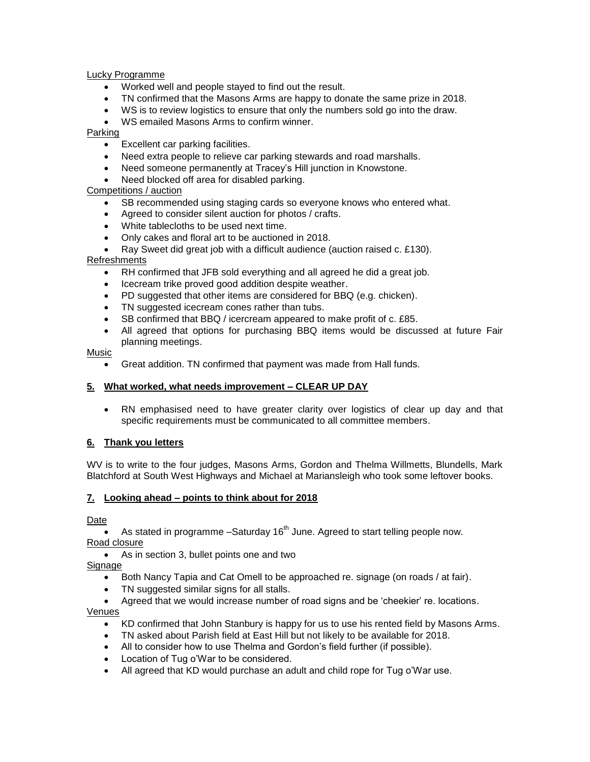Lucky Programme

- Worked well and people stayed to find out the result.
- TN confirmed that the Masons Arms are happy to donate the same prize in 2018.
- WS is to review logistics to ensure that only the numbers sold go into the draw.
- WS emailed Masons Arms to confirm winner.

Parking

- Excellent car parking facilities.
- Need extra people to relieve car parking stewards and road marshalls.
- Need someone permanently at Tracey's Hill junction in Knowstone.
- Need blocked off area for disabled parking.

Competitions / auction

- SB recommended using staging cards so everyone knows who entered what.
- Agreed to consider silent auction for photos / crafts.
- White tablecloths to be used next time.
- Only cakes and floral art to be auctioned in 2018.
- Ray Sweet did great job with a difficult audience (auction raised c. £130).

Refreshments

- RH confirmed that JFB sold everything and all agreed he did a great job.
- Icecream trike proved good addition despite weather.
- PD suggested that other items are considered for BBQ (e.g. chicken).
- TN suggested icecream cones rather than tubs.
- SB confirmed that BBQ / icercream appeared to make profit of c. £85.
- All agreed that options for purchasing BBQ items would be discussed at future Fair planning meetings.

Music

Great addition. TN confirmed that payment was made from Hall funds.

#### **5. What worked, what needs improvement – CLEAR UP DAY**

 RN emphasised need to have greater clarity over logistics of clear up day and that specific requirements must be communicated to all committee members.

# **6. Thank you letters**

WV is to write to the four judges, Masons Arms, Gordon and Thelma Willmetts, Blundells, Mark Blatchford at South West Highways and Michael at Mariansleigh who took some leftover books.

# **7. Looking ahead – points to think about for 2018**

Date

As stated in programme  $-$ Saturday 16<sup>th</sup> June. Agreed to start telling people now. Road closure

As in section 3, bullet points one and two

Signage

- Both Nancy Tapia and Cat Omell to be approached re. signage (on roads / at fair).
- TN suggested similar signs for all stalls.
- Agreed that we would increase number of road signs and be 'cheekier' re. locations.

Venues

- KD confirmed that John Stanbury is happy for us to use his rented field by Masons Arms.
- TN asked about Parish field at East Hill but not likely to be available for 2018.
- All to consider how to use Thelma and Gordon's field further (if possible).
- Location of Tug o'War to be considered.
- All agreed that KD would purchase an adult and child rope for Tug o'War use.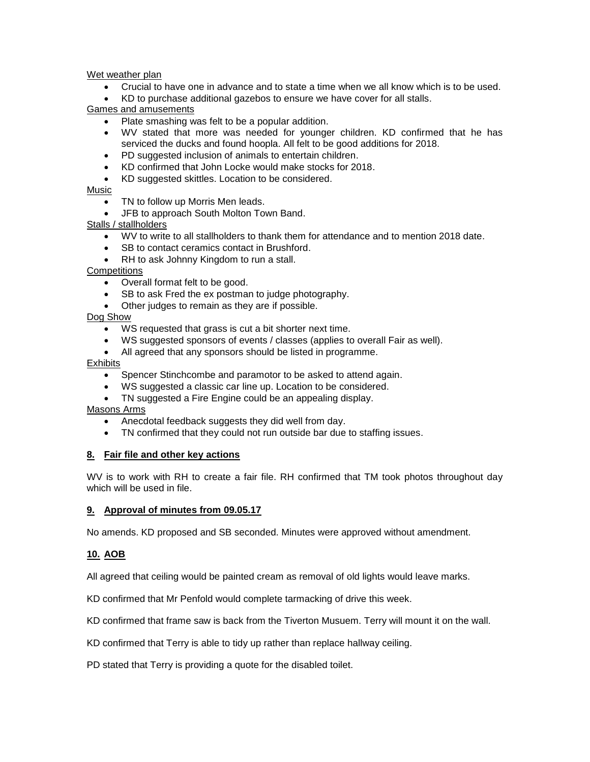Wet weather plan

- Crucial to have one in advance and to state a time when we all know which is to be used.
- KD to purchase additional gazebos to ensure we have cover for all stalls.

Games and amusements

- Plate smashing was felt to be a popular addition.
- WV stated that more was needed for younger children. KD confirmed that he has serviced the ducks and found hoopla. All felt to be good additions for 2018.
- PD suggested inclusion of animals to entertain children.
- KD confirmed that John Locke would make stocks for 2018.
- KD suggested skittles. Location to be considered.

#### Music

- TN to follow up Morris Men leads.
- JFB to approach South Molton Town Band.

Stalls / stallholders

- WV to write to all stallholders to thank them for attendance and to mention 2018 date.
- SB to contact ceramics contact in Brushford.
- RH to ask Johnny Kingdom to run a stall.

#### **Competitions**

- Overall format felt to be good.
- SB to ask Fred the ex postman to judge photography.
- Other judges to remain as they are if possible.

#### Dog Show

- WS requested that grass is cut a bit shorter next time.
- WS suggested sponsors of events / classes (applies to overall Fair as well).
- All agreed that any sponsors should be listed in programme.

#### Exhibits

- Spencer Stinchcombe and paramotor to be asked to attend again.
- WS suggested a classic car line up. Location to be considered.
- TN suggested a Fire Engine could be an appealing display.

Masons Arms

- Anecdotal feedback suggests they did well from day.
- TN confirmed that they could not run outside bar due to staffing issues.

# **8. Fair file and other key actions**

WV is to work with RH to create a fair file. RH confirmed that TM took photos throughout day which will be used in file.

#### **9. Approval of minutes from 09.05.17**

No amends. KD proposed and SB seconded. Minutes were approved without amendment.

# **10. AOB**

All agreed that ceiling would be painted cream as removal of old lights would leave marks.

KD confirmed that Mr Penfold would complete tarmacking of drive this week.

KD confirmed that frame saw is back from the Tiverton Musuem. Terry will mount it on the wall.

KD confirmed that Terry is able to tidy up rather than replace hallway ceiling.

PD stated that Terry is providing a quote for the disabled toilet.